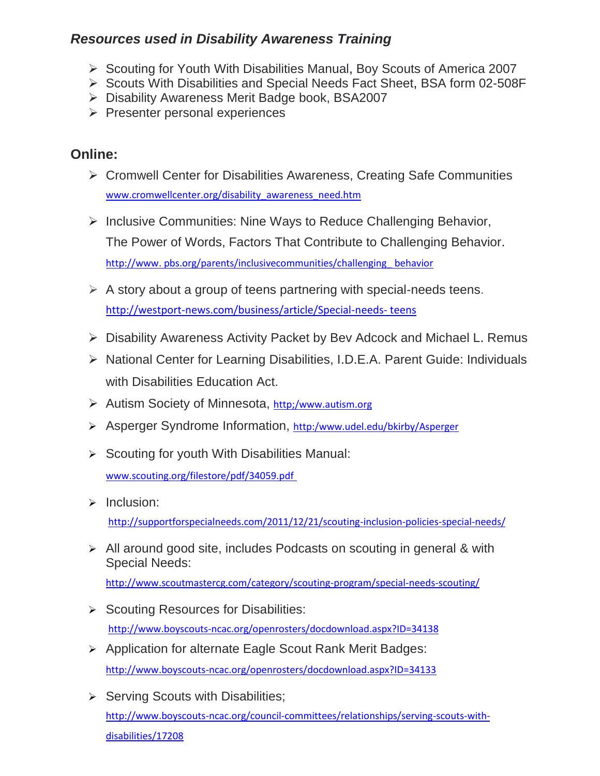## *Resources used in Disability Awareness Training*

- $\triangleright$  Scouting for Youth With Disabilities Manual, Boy Scouts of America 2007
- ▶ Scouts With Disabilities and Special Needs Fact Sheet, BSA form 02-508F
- ▶ Disability Awareness Merit Badge book, BSA2007
- $\triangleright$  Presenter personal experiences

## **Online:**

- Cromwell Center for Disabilities Awareness, Creating Safe Communities [www.cromwellcenter.org/disability\\_awareness\\_need.htm](http://www.cromwellcenter.org/disability_awareness_need.htm)
- $\triangleright$  Inclusive Communities: Nine Ways to Reduce Challenging Behavior, The Power of Words, Factors That Contribute to Challenging Behavior. http://www. pbs.org/parents/inclusivecommunities/challenging\_ behavior
- $\triangleright$  A story about a group of teens partnering with special-needs teens. http://westport-news.com/business/article/Special-needs- teens
- Disability Awareness Activity Packet by Bev Adcock and Michael L. Remus
- ▶ National Center for Learning Disabilities, I.D.E.A. Parent Guide: Individuals with Disabilities Education Act.
- ▶ Autism Society of Minnesota, http:/www.autism.org
- Asperger Syndrome Information, http:/www.udel.edu/bkirby/Asperger
- $\triangleright$  Scouting for youth With Disabilities Manual: [www.scouting.org/filestore/pdf/34059.pdf](http://www.scouting.org/filestore/pdf/34059.pdf)
- $\triangleright$  Inclusion: <http://supportforspecialneeds.com/2011/12/21/scouting-inclusion-policies-special-needs/>
- All around good site, includes Podcasts on scouting in general & with Special Needs:

<http://www.scoutmastercg.com/category/scouting-program/special-needs-scouting/>

- $\triangleright$  Scouting Resources for Disabilities: <http://www.boyscouts-ncac.org/openrosters/docdownload.aspx?ID=34138>
- Application for alternate Eagle Scout Rank Merit Badges: <http://www.boyscouts-ncac.org/openrosters/docdownload.aspx?ID=34133>
- $\triangleright$  Serving Scouts with Disabilities; [http://www.boyscouts-ncac.org/council-committees/relationships/serving-scouts-with](http://www.boyscouts-ncac.org/council-committees/relationships/serving-scouts-with-disabilities/17208)[disabilities/17208](http://www.boyscouts-ncac.org/council-committees/relationships/serving-scouts-with-disabilities/17208)